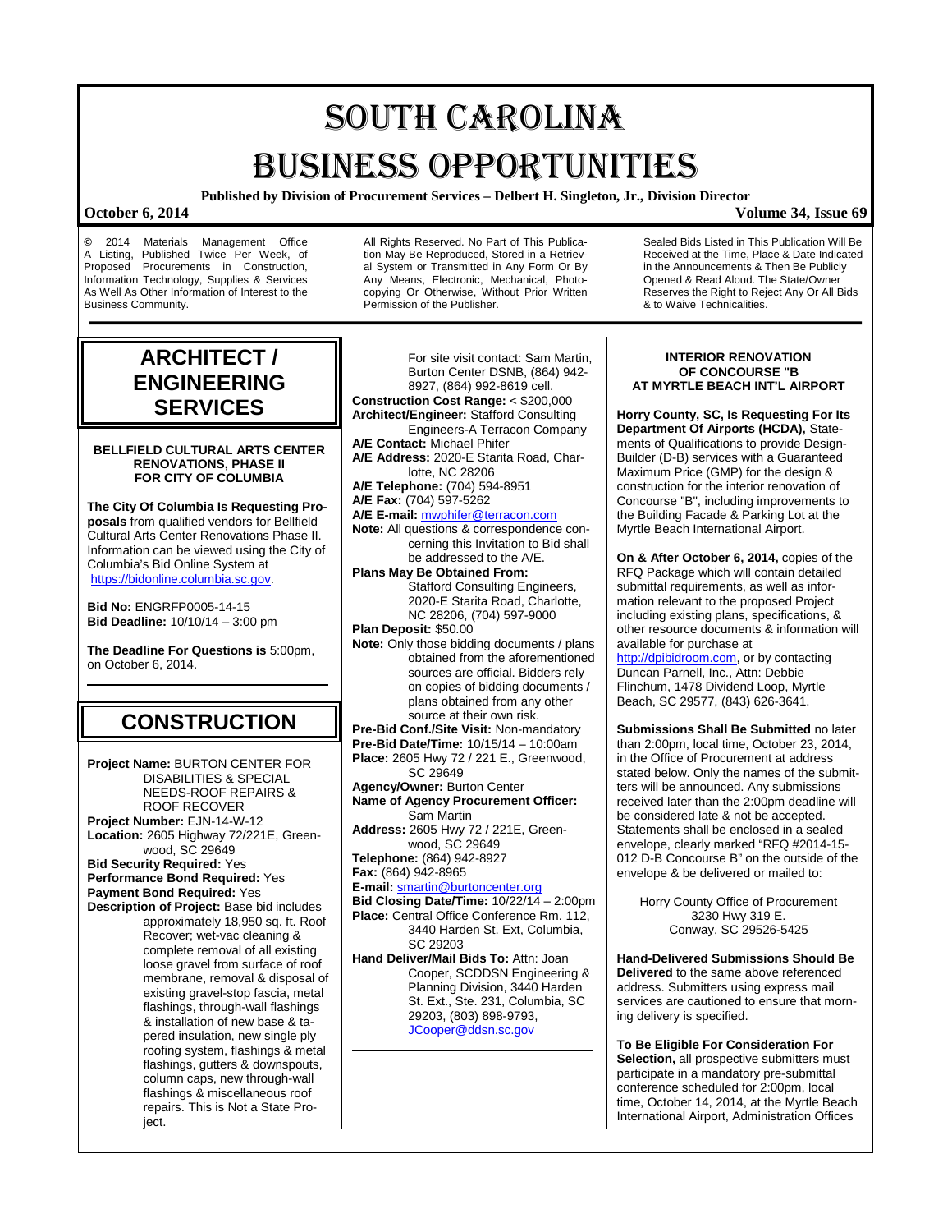# SOUTH CAROLINA BUSINESS OPPORTUNITIES

**Published by Division of Procurement Services – Delbert H. Singleton, Jr., Division Director**

### **October 6, 2014 Volume 34, Issue 69**

**©** 2014 Materials Management Office A Listing, Published Twice Per Week, of Proposed Procurements in Construction, Information Technology, Supplies & Services As Well As Other Information of Interest to the Business Community.

All Rights Reserved. No Part of This Publication May Be Reproduced, Stored in a Retrieval System or Transmitted in Any Form Or By Any Means, Electronic, Mechanical, Photocopying Or Otherwise, Without Prior Written Permission of the Publisher.

Sealed Bids Listed in This Publication Will Be Received at the Time, Place & Date Indicated in the Announcements & Then Be Publicly Opened & Read Aloud. The State/Owner Reserves the Right to Reject Any Or All Bids & to Waive Technicalities.

## **ARCHITECT / ENGINEERING SERVICES**

#### **BELLFIELD CULTURAL ARTS CENTER RENOVATIONS, PHASE II FOR CITY OF COLUMBIA**

**The City Of Columbia Is Requesting Proposals** from qualified vendors for Bellfield Cultural Arts Center Renovations Phase II. Information can be viewed using the City of Columbia's Bid Online System at [https://bidonline.columbia.sc.gov.](https://bidonline.columbia.sc.gov/)

**Bid No:** ENGRFP0005-14-15 **Bid Deadline:** 10/10/14 – 3:00 pm

**The Deadline For Questions is** 5:00pm, on October 6, 2014.

## **CONSTRUCTION**

**Project Name:** BURTON CENTER FOR DISABILITIES & SPECIAL NEEDS-ROOF REPAIRS & ROOF RECOVER **Project Number:** EJN-14-W-12 **Location:** 2605 Highway 72/221E, Greenwood, SC 29649 **Bid Security Required:** Yes **Performance Bond Required:** Yes **Payment Bond Required:** Yes **Description of Project:** Base bid includes approximately 18,950 sq. ft. Roof Recover; wet-vac cleaning & complete removal of all existing loose gravel from surface of roof membrane, removal & disposal of existing gravel-stop fascia, metal flashings, through-wall flashings & installation of new base & tapered insulation, new single ply roofing system, flashings & metal flashings, gutters & downspouts, column caps, new through-wall flashings & miscellaneous roof repairs. This is Not a State Project.

For site visit contact: Sam Martin, Burton Center DSNB, (864) 942- 8927, (864) 992-8619 cell. **Construction Cost Range:** < \$200,000 **Architect/Engineer:** Stafford Consulting Engineers-A Terracon Company **A/E Contact:** Michael Phifer **A/E Address:** 2020-E Starita Road, Charlotte, NC 28206 **A/E Telephone:** (704) 594-8951 **A/E Fax:** (704) 597-5262 **A/E E-mail:** [mwphifer@terracon.com](mailto:mwphifer@terracon.com) **Note:** All questions & correspondence concerning this Invitation to Bid shall be addressed to the A/E. **Plans May Be Obtained From:** Stafford Consulting Engineers, 2020-E Starita Road, Charlotte, NC 28206, (704) 597-9000 **Plan Deposit:** \$50.00 **Note:** Only those bidding documents / plans obtained from the aforementioned sources are official. Bidders rely on copies of bidding documents / plans obtained from any other source at their own risk. **Pre-Bid Conf./Site Visit:** Non-mandatory **Pre-Bid Date/Time:** 10/15/14 – 10:00am **Place:** 2605 Hwy 72 / 221 E., Greenwood, SC 29649 **Agency/Owner:** Burton Center **Name of Agency Procurement Officer:** Sam Martin **Address:** 2605 Hwy 72 / 221E, Greenwood, SC 29649 **Telephone:** (864) 942-8927 **Fax:** (864) 942-8965 **E-mail:** [smartin@burtoncenter.org](mailto:smartin@burtoncenter.org) **Bid Closing Date/Time: 10/22/14 - 2:00pm Place:** Central Office Conference Rm. 112, 3440 Harden St. Ext, Columbia, SC 29203 **Hand Deliver/Mail Bids To:** Attn: Joan Cooper, SCDDSN Engineering & Planning Division, 3440 Harden St. Ext., Ste. 231, Columbia, SC 29203, (803) 898-9793, [JCooper@ddsn.sc.gov](mailto:JCooper@ddsn.sc.gov)

#### **INTERIOR RENOVATION OF CONCOURSE "B AT MYRTLE BEACH INT'L AIRPORT**

**Horry County, SC, Is Requesting For Its Department Of Airports (HCDA),** Statements of Qualifications to provide Design-Builder (D-B) services with a Guaranteed Maximum Price (GMP) for the design & construction for the interior renovation of Concourse "B", including improvements to the Building Facade & Parking Lot at the Myrtle Beach International Airport.

**On & After October 6, 2014,** copies of the RFQ Package which will contain detailed submittal requirements, as well as information relevant to the proposed Project including existing plans, specifications, & other resource documents & information will available for purchase at

[http://dpibidroom.com,](http://dpibidroom.com/) or by contacting Duncan Parnell, Inc., Attn: Debbie Flinchum, 1478 Dividend Loop, Myrtle Beach, SC 29577, (843) 626-3641.

**Submissions Shall Be Submitted** no later than 2:00pm, local time, October 23, 2014, in the Office of Procurement at address stated below. Only the names of the submitters will be announced. Any submissions received later than the 2:00pm deadline will be considered late & not be accepted. Statements shall be enclosed in a sealed envelope, clearly marked "RFQ #2014-15- 012 D-B Concourse B" on the outside of the envelope & be delivered or mailed to:

> Horry County Office of Procurement 3230 Hwy 319 E. Conway, SC 29526-5425

**Hand-Delivered Submissions Should Be Delivered** to the same above referenced address. Submitters using express mail services are cautioned to ensure that morning delivery is specified.

**To Be Eligible For Consideration For Selection, all prospective submitters must** participate in a mandatory pre-submittal conference scheduled for 2:00pm, local time, October 14, 2014, at the Myrtle Beach International Airport, Administration Offices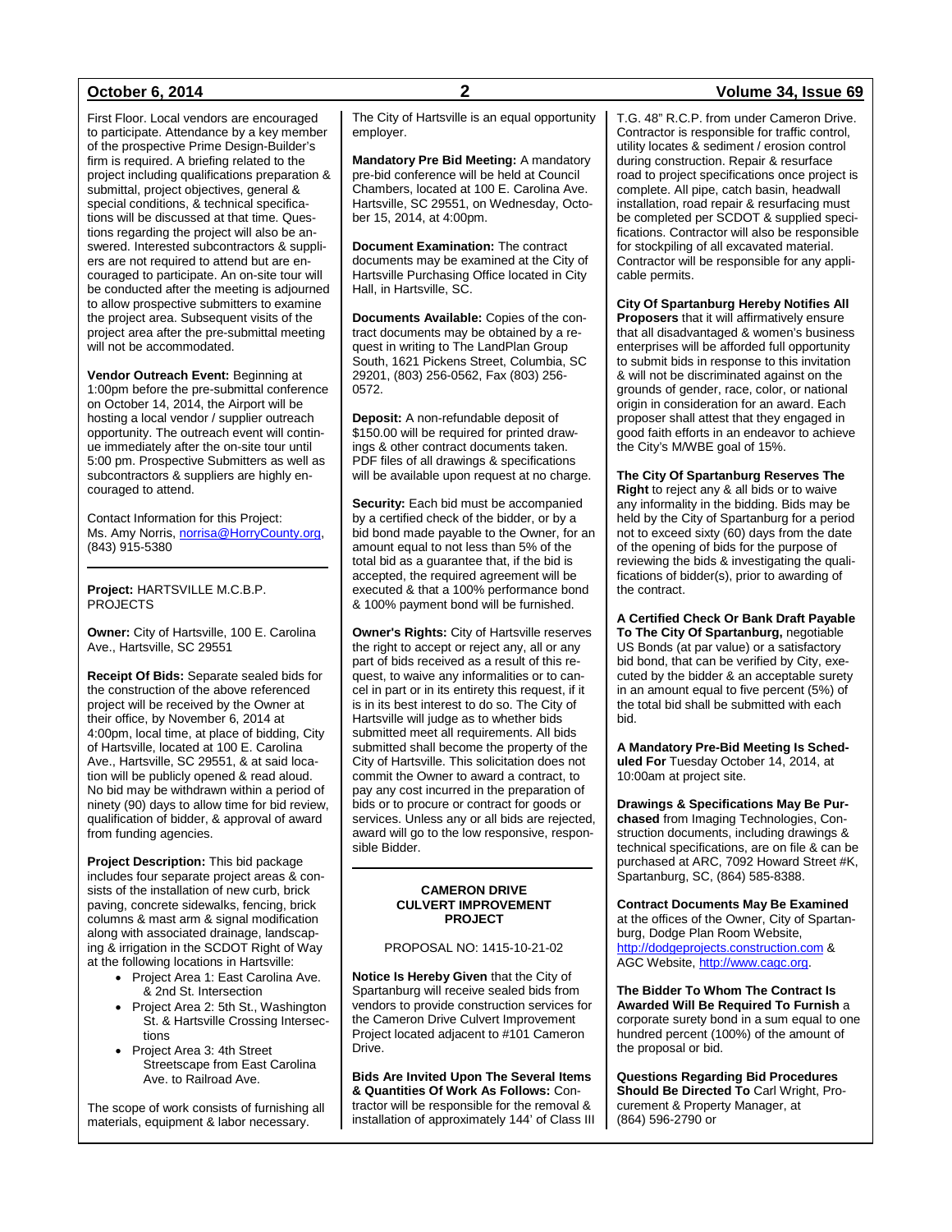First Floor. Local vendors are encouraged to participate. Attendance by a key member of the prospective Prime Design-Builder's firm is required. A briefing related to the project including qualifications preparation & submittal, project objectives, general & special conditions, & technical specifications will be discussed at that time. Questions regarding the project will also be answered. Interested subcontractors & suppliers are not required to attend but are encouraged to participate. An on-site tour will be conducted after the meeting is adjourned to allow prospective submitters to examine the project area. Subsequent visits of the project area after the pre-submittal meeting will not be accommodated.

**Vendor Outreach Event:** Beginning at 1:00pm before the pre-submittal conference on October 14, 2014, the Airport will be hosting a local vendor / supplier outreach opportunity. The outreach event will continue immediately after the on-site tour until 5:00 pm. Prospective Submitters as well as subcontractors & suppliers are highly encouraged to attend.

Contact Information for this Project: Ms. Amy Norris, norrisa@HorryCounty.org, (843) 915-5380

**Project:** HARTSVILLE M.C.B.P. PROJECTS

**Owner:** City of Hartsville, 100 E. Carolina Ave., Hartsville, SC 29551

**Receipt Of Bids:** Separate sealed bids for the construction of the above referenced project will be received by the Owner at their office, by November 6, 2014 at 4:00pm, local time, at place of bidding, City of Hartsville, located at 100 E. Carolina Ave., Hartsville, SC 29551, & at said location will be publicly opened & read aloud. No bid may be withdrawn within a period of ninety (90) days to allow time for bid review, qualification of bidder, & approval of award from funding agencies.

**Project Description:** This bid package includes four separate project areas & consists of the installation of new curb, brick paving, concrete sidewalks, fencing, brick columns & mast arm & signal modification along with associated drainage, landscaping & irrigation in the SCDOT Right of Way at the following locations in Hartsville:

- Project Area 1: East Carolina Ave. & 2nd St. Intersection
- Project Area 2: 5th St., Washington St. & Hartsville Crossing Intersections
- Project Area 3: 4th Street Streetscape from East Carolina Ave. to Railroad Ave.

The scope of work consists of furnishing all materials, equipment & labor necessary.

The City of Hartsville is an equal opportunity employer.

**Mandatory Pre Bid Meeting:** A mandatory pre-bid conference will be held at Council Chambers, located at 100 E. Carolina Ave. Hartsville, SC 29551, on Wednesday, October 15, 2014, at 4:00pm.

**Document Examination:** The contract documents may be examined at the City of Hartsville Purchasing Office located in City Hall, in Hartsville, SC.

**Documents Available:** Copies of the contract documents may be obtained by a request in writing to The LandPlan Group South, 1621 Pickens Street, Columbia, SC 29201, (803) 256-0562, Fax (803) 256- 0572.

**Deposit:** A non-refundable deposit of \$150.00 will be required for printed drawings & other contract documents taken. PDF files of all drawings & specifications will be available upon request at no charge.

**Security:** Each bid must be accompanied by a certified check of the bidder, or by a bid bond made payable to the Owner, for an amount equal to not less than 5% of the total bid as a guarantee that, if the bid is accepted, the required agreement will be executed & that a 100% performance bond & 100% payment bond will be furnished.

**Owner's Rights:** City of Hartsville reserves the right to accept or reject any, all or any part of bids received as a result of this request, to waive any informalities or to cancel in part or in its entirety this request, if it is in its best interest to do so. The City of Hartsville will judge as to whether bids submitted meet all requirements. All bids submitted shall become the property of the City of Hartsville. This solicitation does not commit the Owner to award a contract, to pay any cost incurred in the preparation of bids or to procure or contract for goods or services. Unless any or all bids are rejected, award will go to the low responsive, responsible Bidder.

#### **CAMERON DRIVE CULVERT IMPROVEMENT PROJECT**

#### PROPOSAL NO: 1415-10-21-02

**Notice Is Hereby Given** that the City of Spartanburg will receive sealed bids from vendors to provide construction services for the Cameron Drive Culvert Improvement Project located adjacent to #101 Cameron Drive.

**Bids Are Invited Upon The Several Items & Quantities Of Work As Follows:** Contractor will be responsible for the removal & installation of approximately 144' of Class III

### **October 6, 2014 2 Volume 34, Issue 69**

T.G. 48" R.C.P. from under Cameron Drive. Contractor is responsible for traffic control, utility locates & sediment / erosion control during construction. Repair & resurface road to project specifications once project is complete. All pipe, catch basin, headwall installation, road repair & resurfacing must be completed per SCDOT & supplied specifications. Contractor will also be responsible for stockpiling of all excavated material. Contractor will be responsible for any applicable permits.

**City Of Spartanburg Hereby Notifies All Proposers** that it will affirmatively ensure that all disadvantaged & women's business enterprises will be afforded full opportunity to submit bids in response to this invitation & will not be discriminated against on the grounds of gender, race, color, or national origin in consideration for an award. Each proposer shall attest that they engaged in good faith efforts in an endeavor to achieve the City's M/WBE goal of 15%.

**The City Of Spartanburg Reserves The Right** to reject any & all bids or to waive any informality in the bidding. Bids may be held by the City of Spartanburg for a period not to exceed sixty (60) days from the date of the opening of bids for the purpose of reviewing the bids & investigating the qualifications of bidder(s), prior to awarding of the contract.

**A Certified Check Or Bank Draft Payable To The City Of Spartanburg,** negotiable US Bonds (at par value) or a satisfactory bid bond, that can be verified by City, executed by the bidder & an acceptable surety in an amount equal to five percent (5%) of the total bid shall be submitted with each bid.

**A Mandatory Pre-Bid Meeting Is Scheduled For** Tuesday October 14, 2014, at 10:00am at project site.

**Drawings & Specifications May Be Purchased** from Imaging Technologies, Construction documents, including drawings & technical specifications, are on file & can be purchased at ARC, 7092 Howard Street #K, Spartanburg, SC, (864) 585-8388.

**Contract Documents May Be Examined**  at the offices of the Owner, City of Spartanburg, Dodge Plan Room Website, [http://dodgeprojects.construction.com](http://dodgeprojects.construction.com/) & AGC Website, [http://www.cagc.org.](http://www.cagc.org/)

**The Bidder To Whom The Contract Is Awarded Will Be Required To Furnish** a corporate surety bond in a sum equal to one hundred percent (100%) of the amount of the proposal or bid.

**Questions Regarding Bid Procedures Should Be Directed To** Carl Wright, Procurement & Property Manager, at (864) 596-2790 or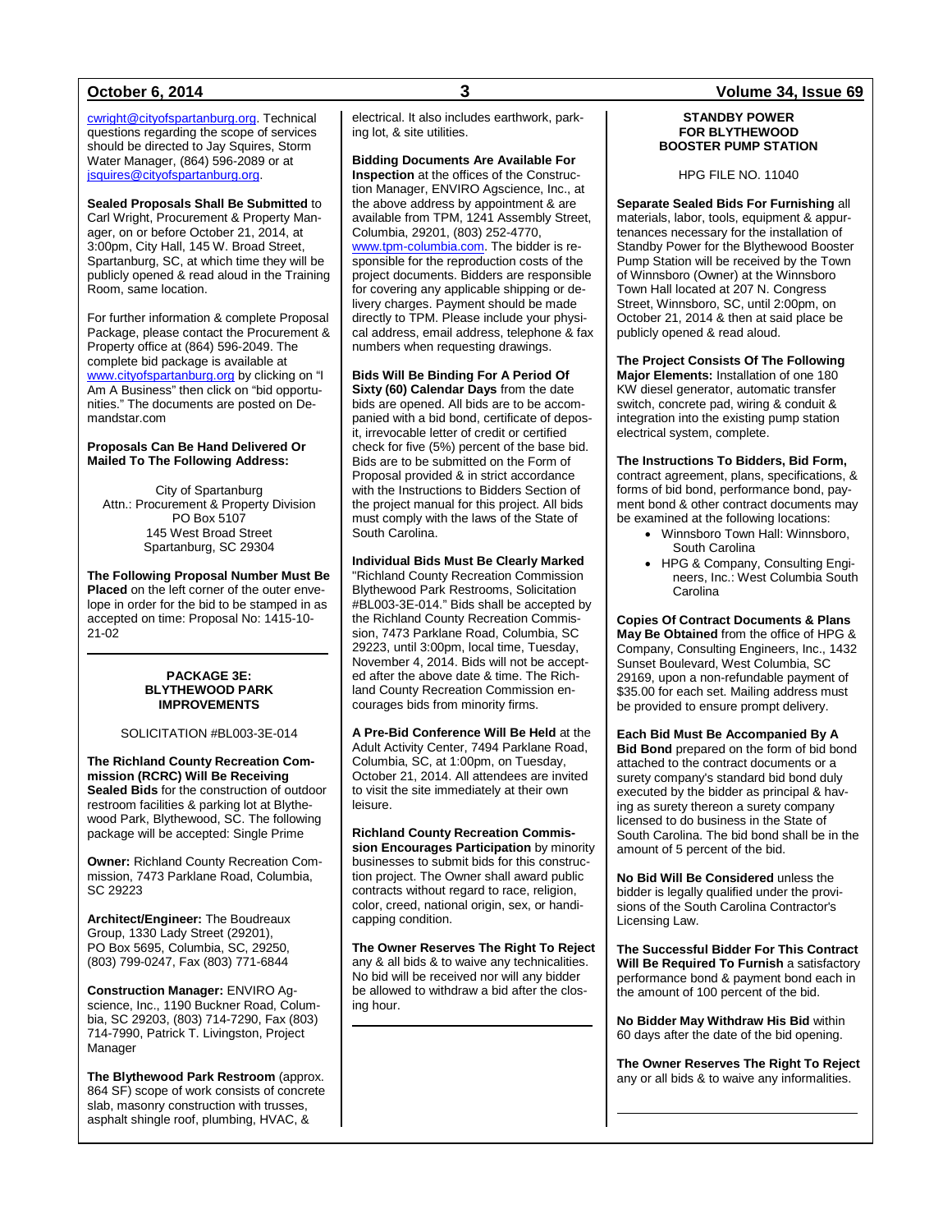[cwright@cityofspartanburg.org.](mailto:cwright@cityofspartanburg.org) Technical questions regarding the scope of services should be directed to Jay Squires, Storm Water Manager, (864) 596-2089 or at [jsquires@cityofspartanburg.org.](mailto:jsquires@cityofspartanburg.org)

**Sealed Proposals Shall Be Submitted** to Carl Wright, Procurement & Property Manager, on or before October 21, 2014, at 3:00pm, City Hall, 145 W. Broad Street, Spartanburg, SC, at which time they will be publicly opened & read aloud in the Training Room, same location.

For further information & complete Proposal Package, please contact the Procurement & Property office at (864) 596-2049. The complete bid package is available at [www.cityofspartanburg.org](http://www.cityofspartanburg.org/) by clicking on "I Am A Business" then click on "bid opportunities." The documents are posted on Demandstar.com

#### **Proposals Can Be Hand Delivered Or Mailed To The Following Address:**

City of Spartanburg Attn.: Procurement & Property Division PO Box 5107 145 West Broad Street Spartanburg, SC 29304

**The Following Proposal Number Must Be Placed** on the left corner of the outer envelope in order for the bid to be stamped in as accepted on time: Proposal No: 1415-10- 21-02

#### **PACKAGE 3E: BLYTHEWOOD PARK IMPROVEMENTS**

#### SOLICITATION #BL003-3E-014

**The Richland County Recreation Commission (RCRC) Will Be Receiving Sealed Bids** for the construction of outdoor restroom facilities & parking lot at Blythewood Park, Blythewood, SC. The following package will be accepted: Single Prime

**Owner:** Richland County Recreation Commission, 7473 Parklane Road, Columbia, SC 29223

**Architect/Engineer:** The Boudreaux Group, 1330 Lady Street (29201), PO Box 5695, Columbia, SC, 29250, (803) 799-0247, Fax (803) 771-6844

**Construction Manager:** ENVIRO Agscience, Inc., 1190 Buckner Road, Columbia, SC 29203, (803) 714-7290, Fax (803) 714-7990, Patrick T. Livingston, Project Manager

**The Blythewood Park Restroom** (approx. 864 SF) scope of work consists of concrete slab, masonry construction with trusses, asphalt shingle roof, plumbing, HVAC, &

electrical. It also includes earthwork, parking lot, & site utilities.

**Bidding Documents Are Available For Inspection** at the offices of the Construction Manager, ENVIRO Agscience, Inc., at the above address by appointment & are available from TPM, 1241 Assembly Street, Columbia, 29201, (803) 252-4770, [www.tpm-columbia.com.](http://www.tpm-columbia.com/) The bidder is responsible for the reproduction costs of the project documents. Bidders are responsible for covering any applicable shipping or delivery charges. Payment should be made directly to TPM. Please include your physical address, email address, telephone & fax numbers when requesting drawings.

**Bids Will Be Binding For A Period Of Sixty (60) Calendar Days** from the date bids are opened. All bids are to be accompanied with a bid bond, certificate of deposit, irrevocable letter of credit or certified check for five (5%) percent of the base bid. Bids are to be submitted on the Form of Proposal provided & in strict accordance with the Instructions to Bidders Section of the project manual for this project. All bids must comply with the laws of the State of South Carolina.

#### **Individual Bids Must Be Clearly Marked**

"Richland County Recreation Commission Blythewood Park Restrooms, Solicitation #BL003-3E-014." Bids shall be accepted by the Richland County Recreation Commission, 7473 Parklane Road, Columbia, SC 29223, until 3:00pm, local time, Tuesday, November 4, 2014. Bids will not be accepted after the above date & time. The Richland County Recreation Commission encourages bids from minority firms.

**A Pre-Bid Conference Will Be Held** at the Adult Activity Center, 7494 Parklane Road, Columbia, SC, at 1:00pm, on Tuesday, October 21, 2014. All attendees are invited to visit the site immediately at their own leisure.

**Richland County Recreation Commission Encourages Participation** by minority businesses to submit bids for this construction project. The Owner shall award public contracts without regard to race, religion, color, creed, national origin, sex, or handicapping condition.

**The Owner Reserves The Right To Reject** any & all bids & to waive any technicalities. No bid will be received nor will any bidder be allowed to withdraw a bid after the closing hour.

### **October 6, 2014 3 Volume 34, Issue 69**

#### **STANDBY POWER FOR BLYTHEWOOD BOOSTER PUMP STATION**

HPG FILE NO. 11040

**Separate Sealed Bids For Furnishing** all materials, labor, tools, equipment & appurtenances necessary for the installation of Standby Power for the Blythewood Booster Pump Station will be received by the Town of Winnsboro (Owner) at the Winnsboro Town Hall located at 207 N. Congress Street, Winnsboro, SC, until 2:00pm, on October 21, 2014 & then at said place be publicly opened & read aloud.

**The Project Consists Of The Following Major Elements:** Installation of one 180 KW diesel generator, automatic transfer switch, concrete pad, wiring & conduit & integration into the existing pump station electrical system, complete.

**The Instructions To Bidders, Bid Form,** contract agreement, plans, specifications, & forms of bid bond, performance bond, payment bond & other contract documents may be examined at the following locations:

- Winnsboro Town Hall: Winnsboro, South Carolina
- HPG & Company, Consulting Engineers, Inc.: West Columbia South Carolina

**Copies Of Contract Documents & Plans May Be Obtained** from the office of HPG & Company, Consulting Engineers, Inc., 1432 Sunset Boulevard, West Columbia, SC 29169, upon a non-refundable payment of \$35.00 for each set. Mailing address must be provided to ensure prompt delivery.

**Each Bid Must Be Accompanied By A Bid Bond** prepared on the form of bid bond attached to the contract documents or a surety company's standard bid bond duly executed by the bidder as principal & having as surety thereon a surety company licensed to do business in the State of South Carolina. The bid bond shall be in the amount of 5 percent of the bid.

**No Bid Will Be Considered** unless the bidder is legally qualified under the provisions of the South Carolina Contractor's Licensing Law.

**The Successful Bidder For This Contract Will Be Required To Furnish** a satisfactory performance bond & payment bond each in the amount of 100 percent of the bid.

**No Bidder May Withdraw His Bid** within 60 days after the date of the bid opening.

**The Owner Reserves The Right To Reject** any or all bids & to waive any informalities.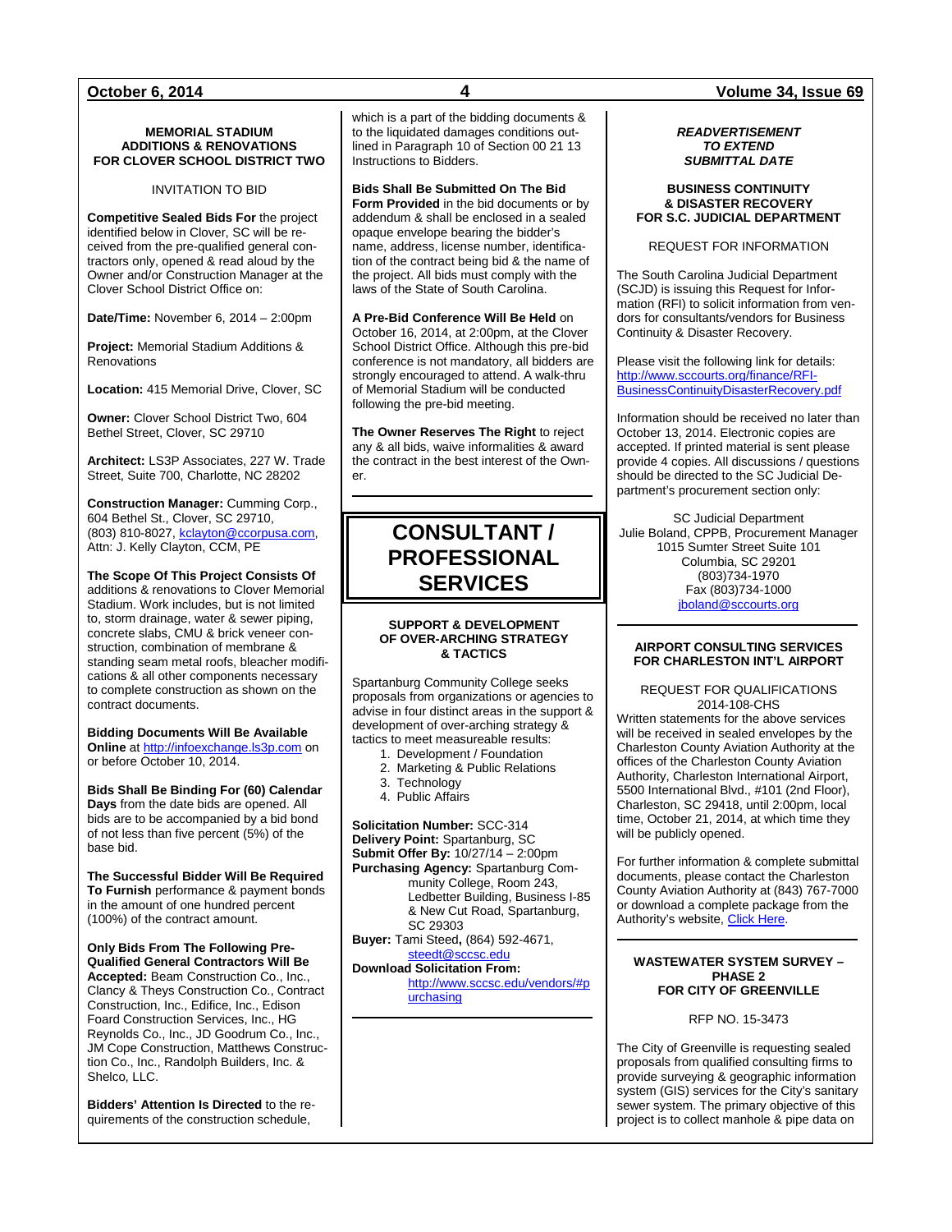#### **MEMORIAL STADIUM ADDITIONS & RENOVATIONS FOR CLOVER SCHOOL DISTRICT TWO**

INVITATION TO BID

**Competitive Sealed Bids For** the project identified below in Clover, SC will be received from the pre-qualified general contractors only, opened & read aloud by the Owner and/or Construction Manager at the Clover School District Office on:

**Date/Time: November 6, 2014 – 2:00pm** 

**Project:** Memorial Stadium Additions & Renovations

**Location:** 415 Memorial Drive, Clover, SC

**Owner:** Clover School District Two, 604 Bethel Street, Clover, SC 29710

**Architect:** LS3P Associates, 227 W. Trade Street, Suite 700, Charlotte, NC 28202

**Construction Manager:** Cumming Corp., 604 Bethel St., Clover, SC 29710, (803) 810-8027[, kclayton@ccorpusa.com,](mailto:kclayton@ccorpusa.com)  Attn: J. Kelly Clayton, CCM, PE

**The Scope Of This Project Consists Of** additions & renovations to Clover Memorial Stadium. Work includes, but is not limited to, storm drainage, water & sewer piping, concrete slabs, CMU & brick veneer construction, combination of membrane & standing seam metal roofs, bleacher modifications & all other components necessary to complete construction as shown on the contract documents.

**Bidding Documents Will Be Available Online** a[t http://infoexchange.ls3p.com](http://infoexchange.ls3p.com/) on or before October 10, 2014.

**Bids Shall Be Binding For (60) Calendar Days** from the date bids are opened. All bids are to be accompanied by a bid bond of not less than five percent (5%) of the base bid.

**The Successful Bidder Will Be Required To Furnish** performance & payment bonds in the amount of one hundred percent (100%) of the contract amount.

**Only Bids From The Following Pre-Qualified General Contractors Will Be Accepted:** Beam Construction Co., Inc., Clancy & Theys Construction Co., Contract Construction, Inc., Edifice, Inc., Edison Foard Construction Services, Inc., HG Reynolds Co., Inc., JD Goodrum Co., Inc., JM Cope Construction, Matthews Construction Co., Inc., Randolph Builders, Inc. & Shelco, LLC.

**Bidders' Attention Is Directed** to the requirements of the construction schedule,

which is a part of the bidding documents & to the liquidated damages conditions outlined in Paragraph 10 of Section 00 21 13 Instructions to Bidders.

**Bids Shall Be Submitted On The Bid Form Provided** in the bid documents or by addendum & shall be enclosed in a sealed opaque envelope bearing the bidder's name, address, license number, identification of the contract being bid & the name of the project. All bids must comply with the laws of the State of South Carolina.

**A Pre-Bid Conference Will Be Held** on October 16, 2014, at 2:00pm, at the Clover School District Office. Although this pre-bid conference is not mandatory, all bidders are strongly encouraged to attend. A walk-thru of Memorial Stadium will be conducted following the pre-bid meeting.

**The Owner Reserves The Right** to reject any & all bids, waive informalities & award the contract in the best interest of the Owner.

## **CONSULTANT / PROFESSIONAL SERVICES**

#### **SUPPORT & DEVELOPMENT OF OVER-ARCHING STRATEGY & TACTICS**

Spartanburg Community College seeks proposals from organizations or agencies to advise in four distinct areas in the support & development of over-arching strategy & tactics to meet measureable results:

- 1. Development / Foundation
- 2. Marketing & Public Relations
- 3. Technology
- 4. Public Affairs

**Solicitation Number:** SCC-314 **Delivery Point:** Spartanburg, SC **Submit Offer By:** 10/27/14 – 2:00pm **Purchasing Agency:** Spartanburg Community College, Room 243, Ledbetter Building, Business I-85 & New Cut Road, Spartanburg, SC 29303

**Buyer:** Tami Steed**,** (864) 592-4671, [steedt@sccsc.edu](mailto:steedt@sccsc.edu)

**Download Solicitation From:**

[http://www.sccsc.edu/vendors/#p](http://www.sccsc.edu/vendors/#purchasing) [urchasing](http://www.sccsc.edu/vendors/#purchasing)

### **October 6, 2014 4 Volume 34, Issue 69**

#### *READVERTISEMENT TO EXTEND SUBMITTAL DATE*

#### **BUSINESS CONTINUITY & DISASTER RECOVERY FOR S.C. JUDICIAL DEPARTMENT**

REQUEST FOR INFORMATION

The South Carolina Judicial Department (SCJD) is issuing this Request for Information (RFI) to solicit information from vendors for consultants/vendors for Business Continuity & Disaster Recovery.

Please visit the following link for details: [http://www.sccourts.org/finance/RFI-](http://www.sccourts.org/finance/RFI-BusinessContinuityDisasterRecovery.pdf)[BusinessContinuityDisasterRecovery.pdf](http://www.sccourts.org/finance/RFI-BusinessContinuityDisasterRecovery.pdf)

Information should be received no later than October 13, 2014. Electronic copies are accepted. If printed material is sent please provide 4 copies. All discussions / questions should be directed to the SC Judicial Department's procurement section only:

SC Judicial Department Julie Boland, CPPB, Procurement Manager 1015 Sumter Street Suite 101 Columbia, SC 29201 (803)734-1970 Fax (803)734-1000 [jboland@sccourts.org](mailto:jboland@sccourts.org)

#### **AIRPORT CONSULTING SERVICES FOR CHARLESTON INT'L AIRPORT**

REQUEST FOR QUALIFICATIONS 2014-108-CHS

Written statements for the above services will be received in sealed envelopes by the Charleston County Aviation Authority at the offices of the Charleston County Aviation Authority, Charleston International Airport, 5500 International Blvd., #101 (2nd Floor), Charleston, SC 29418, until 2:00pm, local time, October 21, 2014, at which time they will be publicly opened.

For further information & complete submittal documents, please contact the Charleston County Aviation Authority at (843) 767-7000 or download a complete package from the Authority's website, [Click Here.](http://www.portal-chs-airport.com/View/Default.aspx)

#### **WASTEWATER SYSTEM SURVEY – PHASE 2 FOR CITY OF GREENVILLE**

RFP NO. 15-3473

The City of Greenville is requesting sealed proposals from qualified consulting firms to provide surveying & geographic information system (GIS) services for the City's sanitary sewer system. The primary objective of this project is to collect manhole & pipe data on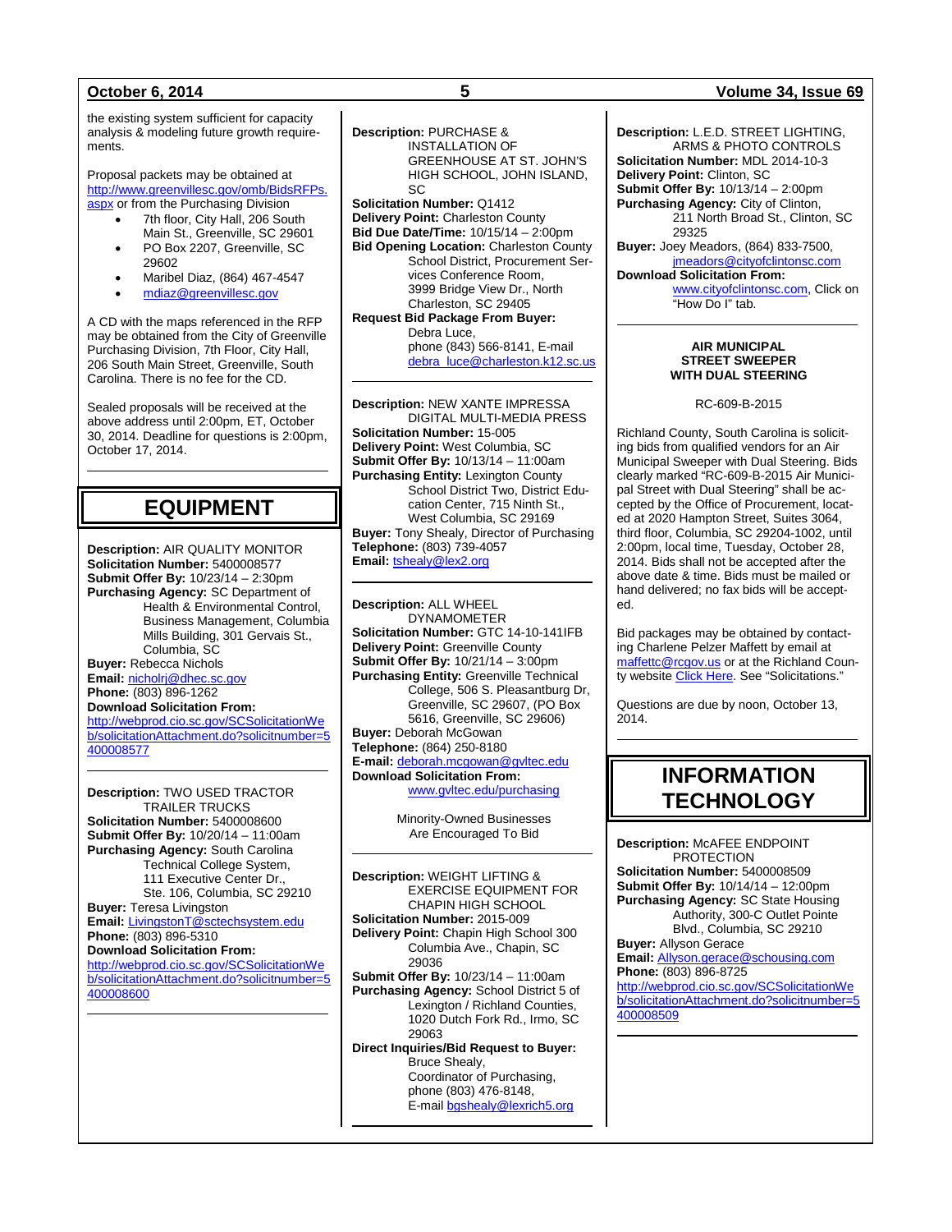the existing system sufficient for capacity analysis & modeling future growth requirements.

Proposal packets may be obtained at [http://www.greenvillesc.gov/omb/BidsRFPs.](http://www.greenvillesc.gov/omb/BidsRFPs.aspx) [aspx](http://www.greenvillesc.gov/omb/BidsRFPs.aspx) or from the Purchasing Division

- 7th floor, City Hall, 206 South
- Main St., Greenville, SC 29601 PO Box 2207, Greenville, SC 29602
- Maribel Diaz, (864) 467-4547
- [mdiaz@greenvillesc.gov](mailto:mdiaz@greenvillesc.gov)

A CD with the maps referenced in the RFP may be obtained from the City of Greenville Purchasing Division, 7th Floor, City Hall, 206 South Main Street, Greenville, South Carolina. There is no fee for the CD.

Sealed proposals will be received at the above address until 2:00pm, ET, October 30, 2014. Deadline for questions is 2:00pm, October 17, 2014.

## **EQUIPMENT**

**Description:** AIR QUALITY MONITOR **Solicitation Number:** 5400008577 **Submit Offer By:** 10/23/14 – 2:30pm **Purchasing Agency:** SC Department of Health & Environmental Control, Business Management, Columbia Mills Building, 301 Gervais St., Columbia, SC **Buyer:** Rebecca Nichols **Email:** [nicholrj@dhec.sc.gov](mailto:nicholrj@dhec.sc.gov) **Phone:** (803) 896-1262 **Download Solicitation From:** [http://webprod.cio.sc.gov/SCSolicitationWe](http://webprod.cio.sc.gov/SCSolicitationWeb/solicitationAttachment.do?solicitnumber=5400008577)

[b/solicitationAttachment.do?solicitnumber=5](http://webprod.cio.sc.gov/SCSolicitationWeb/solicitationAttachment.do?solicitnumber=5400008577) [400008577](http://webprod.cio.sc.gov/SCSolicitationWeb/solicitationAttachment.do?solicitnumber=5400008577)

**Description:** TWO USED TRACTOR TRAILER TRUCKS **Solicitation Number:** 5400008600 **Submit Offer By:** 10/20/14 – 11:00am **Purchasing Agency:** South Carolina Technical College System, 111 Executive Center Dr., Ste. 106, Columbia, SC 29210 **Buyer:** Teresa Livingston **Email:** [LivingstonT@sctechsystem.edu](mailto:LivingstonT@sctechsystem.edu) **Phone:** (803) 896-5310 **Download Solicitation From:** [http://webprod.cio.sc.gov/SCSolicitationWe](http://webprod.cio.sc.gov/SCSolicitationWeb/solicitationAttachment.do?solicitnumber=5400008600) [b/solicitationAttachment.do?solicitnumber=5](http://webprod.cio.sc.gov/SCSolicitationWeb/solicitationAttachment.do?solicitnumber=5400008600) [400008600](http://webprod.cio.sc.gov/SCSolicitationWeb/solicitationAttachment.do?solicitnumber=5400008600)

INSTALLATION OF GREENHOUSE AT ST. JOHN'S HIGH SCHOOL, JOHN ISLAND, SC **Solicitation Number:** Q1412 **Delivery Point:** Charleston County **Bid Due Date/Time:** 10/15/14 – 2:00pm **Bid Opening Location: Charleston County** School District, Procurement Services Conference Room, 3999 Bridge View Dr., North Charleston, SC 29405 **Request Bid Package From Buyer:** Debra Luce, phone (843) 566-8141, E-mail [debra\\_luce@charleston.k12.sc.us](mailto:debra_luce@charleston.k12.sc.us)

**Description:** NEW XANTE IMPRESSA DIGITAL MULTI-MEDIA PRESS **Solicitation Number:** 15-005 **Delivery Point:** West Columbia, SC **Submit Offer By:** 10/13/14 – 11:00am **Purchasing Entity:** Lexington County School District Two, District Education Center, 715 Ninth St., West Columbia, SC 29169 **Buyer:** Tony Shealy, Director of Purchasing **Telephone:** (803) 739-4057 **Email:** [tshealy@lex2.org](mailto:tshealy@lex2.org)

**Description:** ALL WHEEL DYNAMOMETER **Solicitation Number:** GTC 14-10-141IFB **Delivery Point:** Greenville County **Submit Offer By:** 10/21/14 – 3:00pm **Purchasing Entity:** Greenville Technical College, 506 S. Pleasantburg Dr, Greenville, SC 29607, (PO Box 5616, Greenville, SC 29606) **Buyer:** Deborah McGowan **Telephone:** (864) 250-8180 **E-mail:** [deborah.mcgowan@gvltec.edu](mailto:deborah.mcgowan@gvltec.edu) **Download Solicitation From:** [www.gvltec.edu/purchasing](http://www.gvltec.edu/purchasing)

> Minority-Owned Businesses Are Encouraged To Bid

**Description:** WEIGHT LIFTING & EXERCISE EQUIPMENT FOR CHAPIN HIGH SCHOOL **Solicitation Number:** 2015-009 **Delivery Point:** Chapin High School 300 Columbia Ave., Chapin, SC 29036 **Submit Offer By:** 10/23/14 – 11:00am **Purchasing Agency:** School District 5 of Lexington / Richland Counties, 1020 Dutch Fork Rd., Irmo, SC 29063 **Direct Inquiries/Bid Request to Buyer:** Bruce Shealy, Coordinator of Purchasing, phone (803) 476-8148, E-mai[l bgshealy@lexrich5.org](mailto:bgshealy@lexrich5.org)

### **October 6, 2014 5 Volume 34, Issue 69**

**Description:** L.E.D. STREET LIGHTING, ARMS & PHOTO CONTROLS **Solicitation Number:** MDL 2014-10-3 **Delivery Point:** Clinton, SC **Submit Offer By:** 10/13/14 – 2:00pm **Purchasing Agency:** City of Clinton, 211 North Broad St., Clinton, SC 29325 **Buyer:** Joey Meadors, (864) 833-7500, [jmeadors@cityofclintonsc.com](mailto:jmeadors@cityofclintonsc.com) **Download Solicitation From:** [www.cityofclintonsc.com,](http://www.cityofclintonsc.com/) Click on "How Do I" tab.

> **AIR MUNICIPAL STREET SWEEPER WITH DUAL STEERING**

> > RC-609-B-2015

Richland County, South Carolina is soliciting bids from qualified vendors for an Air Municipal Sweeper with Dual Steering. Bids clearly marked "RC-609-B-2015 Air Municipal Street with Dual Steering" shall be accepted by the Office of Procurement, located at 2020 Hampton Street, Suites 3064, third floor, Columbia, SC 29204-1002, until 2:00pm, local time, Tuesday, October 28, 2014. Bids shall not be accepted after the above date & time. Bids must be mailed or hand delivered; no fax bids will be accepted.

Bid packages may be obtained by contacting Charlene Pelzer Maffett by email at [maffettc@rcgov.us](mailto:maffettc@rcgov.us) or at the Richland Coun-ty website [Click Here.](http://www.rcgov.us/Government/Departments/BusinessOperations/Procurement.aspx) See "Solicitations."

Questions are due by noon, October 13, 2014.

## **INFORMATION TECHNOLOGY**

**Description:** McAFEE ENDPOINT PROTECTION **Solicitation Number:** 5400008509 **Submit Offer By:** 10/14/14 – 12:00pm **Purchasing Agency:** SC State Housing Authority, 300-C Outlet Pointe Blvd., Columbia, SC 29210 **Buyer:** Allyson Gerace **Email:** [Allyson.gerace@schousing.com](mailto:Allyson.gerace@schousing.com) **Phone:** (803) 896-8725 [http://webprod.cio.sc.gov/SCSolicitationWe](http://webprod.cio.sc.gov/SCSolicitationWeb/solicitationAttachment.do?solicitnumber=5400008509) [b/solicitationAttachment.do?solicitnumber=5](http://webprod.cio.sc.gov/SCSolicitationWeb/solicitationAttachment.do?solicitnumber=5400008509) [400008509](http://webprod.cio.sc.gov/SCSolicitationWeb/solicitationAttachment.do?solicitnumber=5400008509)

**Description:** PURCHASE &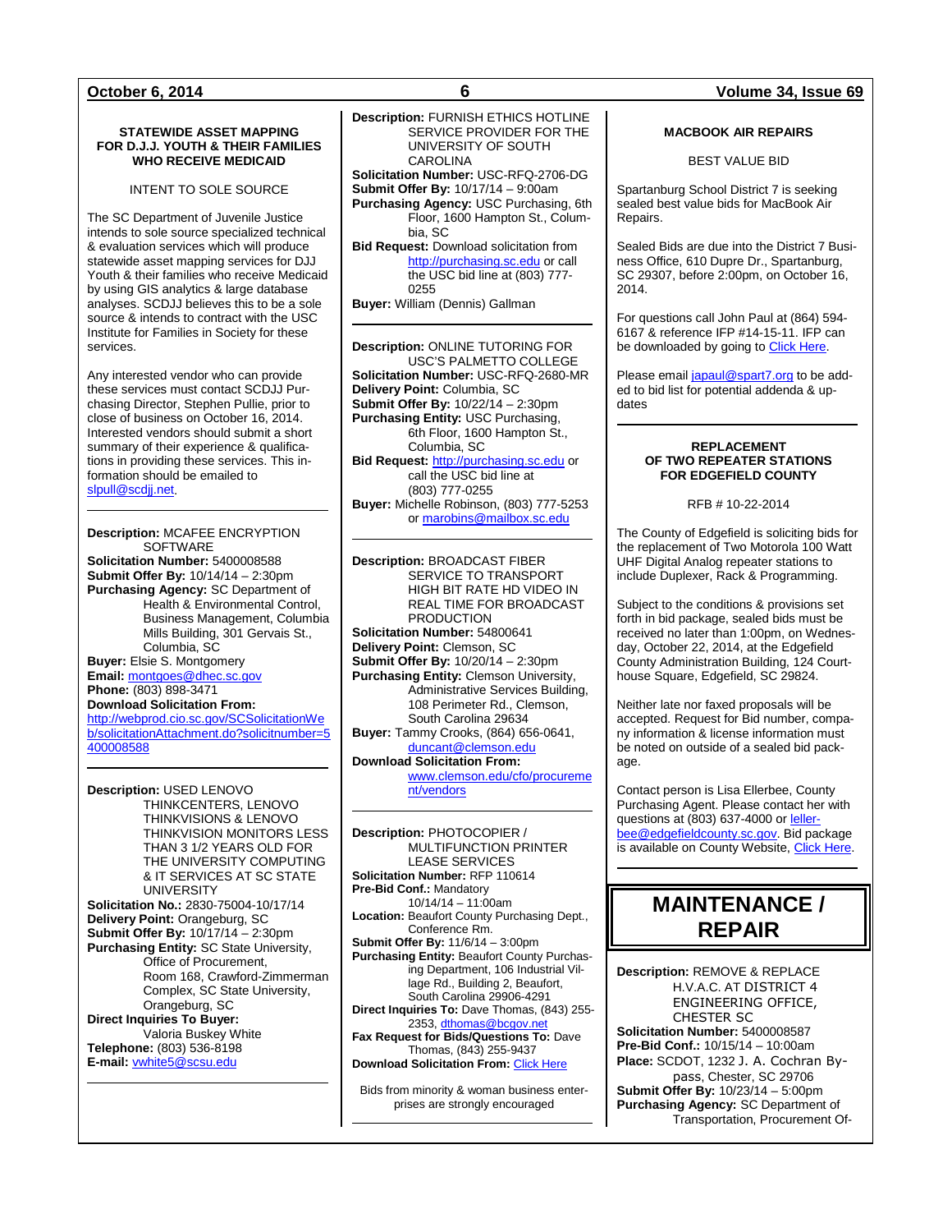#### **October 6, 2014 6 Volume 34, Issue 69**

#### **STATEWIDE ASSET MAPPING FOR D.J.J. YOUTH & THEIR FAMILIES WHO RECEIVE MEDICAID**

INTENT TO SOLE SOURCE

The SC Department of Juvenile Justice intends to sole source specialized technical & evaluation services which will produce statewide asset mapping services for DJJ Youth & their families who receive Medicaid by using GIS analytics & large database analyses. SCDJJ believes this to be a sole source & intends to contract with the USC Institute for Families in Society for these services.

Any interested vendor who can provide these services must contact SCDJJ Purchasing Director, Stephen Pullie, prior to close of business on October 16, 2014. Interested vendors should submit a short summary of their experience & qualifications in providing these services. This information should be emailed to [slpull@scdjj.net.](mailto:slpull@scdjj.net)

#### **Description:** MCAFEE ENCRYPTION **SOFTWARE**

**Solicitation Number:** 5400008588 **Submit Offer By:** 10/14/14 – 2:30pm **Purchasing Agency:** SC Department of Health & Environmental Control, Business Management, Columbia Mills Building, 301 Gervais St., Columbia, SC **Buyer:** Elsie S. Montgomery

**Email:** [montgoes@dhec.sc.gov](mailto:montgoes@dhec.sc.gov) **Phone:** (803) 898-3471

#### **Download Solicitation From:**

[http://webprod.cio.sc.gov/SCSolicitationWe](http://webprod.cio.sc.gov/SCSolicitationWeb/solicitationAttachment.do?solicitnumber=5400008588) [b/solicitationAttachment.do?solicitnumber=5](http://webprod.cio.sc.gov/SCSolicitationWeb/solicitationAttachment.do?solicitnumber=5400008588) [400008588](http://webprod.cio.sc.gov/SCSolicitationWeb/solicitationAttachment.do?solicitnumber=5400008588)

### **Description:** USED LENOVO

THINKCENTERS, LENOVO THINKVISIONS & LENOVO THINKVISION MONITORS LESS THAN 3 1/2 YEARS OLD FOR THE UNIVERSITY COMPUTING & IT SERVICES AT SC STATE UNIVERSITY **Solicitation No.:** 2830-75004-10/17/14 **Delivery Point:** Orangeburg, SC **Submit Offer By:** 10/17/14 – 2:30pm **Purchasing Entity:** SC State University, Office of Procurement, Room 168, Crawford-Zimmerman Complex, SC State University, Orangeburg, SC **Direct Inquiries To Buyer:** Valoria Buskey White **Telephone:** (803) 536-8198

**E-mail:** [vwhite5@scsu.edu](mailto:vwhite5@scsu.edu)

#### **Description:** FURNISH ETHICS HOTLINE SERVICE PROVIDER FOR THE UNIVERSITY OF SOUTH CAROLINA **Solicitation Number:** USC-RFQ-2706-DG **Submit Offer By:** 10/17/14 – 9:00am **Purchasing Agency:** USC Purchasing, 6th

Floor, 1600 Hampton St., Columbia, SC **Bid Request:** Download solicitation from [http://purchasing.sc.edu](http://purchasing.sc.edu/) or call

the USC bid line at (803) 777- 0255 **Buyer:** William (Dennis) Gallman

**Description:** ONLINE TUTORING FOR USC'S PALMETTO COLLEGE **Solicitation Number:** USC-RFQ-2680-MR **Delivery Point:** Columbia, SC **Submit Offer By:** 10/22/14 – 2:30pm **Purchasing Entity:** USC Purchasing, 6th Floor, 1600 Hampton St., Columbia, SC **Bid Request:** [http://purchasing.sc.edu](http://purchasing.sc.edu/) or call the USC bid line at (803) 777-0255 **Buyer:** Michelle Robinson, (803) 777-5253 or [marobins@mailbox.sc.edu](mailto:marobins@mailbox.sc.edu)

**Description:** BROADCAST FIBER SERVICE TO TRANSPORT HIGH BIT RATE HD VIDEO IN REAL TIME FOR BROADCAST PRODUCTION **Solicitation Number:** 54800641 **Delivery Point:** Clemson, SC **Submit Offer By:** 10/20/14 – 2:30pm **Purchasing Entity:** Clemson University, Administrative Services Building, 108 Perimeter Rd., Clemson, South Carolina 29634 **Buyer:** Tammy Crooks, (864) 656-0641, [duncant@clemson.edu](mailto:duncant@clemson.edu) **Download Solicitation From:**

[www.clemson.edu/cfo/procureme](http://www.clemson.edu/cfo/procurement/vendors) [nt/vendors](http://www.clemson.edu/cfo/procurement/vendors)

**Description:** PHOTOCOPIER / MULTIFUNCTION PRINTER LEASE SERVICES **Solicitation Number:** RFP 110614 **Pre-Bid Conf.:** Mandatory 10/14/14 – 11:00am **Location:** Beaufort County Purchasing Dept., Conference Rm. **Submit Offer By:** 11/6/14 – 3:00pm **Purchasing Entity:** Beaufort County Purchasing Department, 106 Industrial Village Rd., Building 2, Beaufort, South Carolina 29906-4291 **Direct Inquiries To:** Dave Thomas, (843) 255- 2353, dthomas@bcgov.ne **Fax Request for Bids/Questions To:** Dave Thomas, (843) 255-9437 **Download Solicitation From:** [Click Here](http://www.co.beaufort.sc.us/departments/Finance/purchasing/current-bids-pop.php)

Bids from minority & woman business enterprises are strongly encouraged

#### **MACBOOK AIR REPAIRS**

BEST VALUE BID

Spartanburg School District 7 is seeking sealed best value bids for MacBook Air Repairs.

Sealed Bids are due into the District 7 Business Office, 610 Dupre Dr., Spartanburg, SC 29307, before 2:00pm, on October 16, 2014.

For questions call John Paul at (864) 594- 6167 & reference IFP #14-15-11. IFP can be downloaded by going t[o Click Here.](http://spartanburg7.org/resources/procurement/)

Please email [japaul@spart7.org](mailto:japaul@spart7.org) to be added to bid list for potential addenda & updates

#### **REPLACEMENT OF TWO REPEATER STATIONS FOR EDGEFIELD COUNTY**

RFB # 10-22-2014

The County of Edgefield is soliciting bids for the replacement of Two Motorola 100 Watt UHF Digital Analog repeater stations to include Duplexer, Rack & Programming.

Subject to the conditions & provisions set forth in bid package, sealed bids must be received no later than 1:00pm, on Wednesday, October 22, 2014, at the Edgefield County Administration Building, 124 Courthouse Square, Edgefield, SC 29824.

Neither late nor faxed proposals will be accepted. Request for Bid number, company information & license information must be noted on outside of a sealed bid package.

Contact person is Lisa Ellerbee, County Purchasing Agent. Please contact her with questions at (803) 637-4000 or *leller*[bee@edgefieldcounty.sc.gov.](mailto:lellerbee@edgefieldcounty.sc.gov) Bid package is available on County Website[, Click Here.](http://www.edgefieldcounty.sc.gov/Pages/RFPs%20and%20Bids.aspx)

## **MAINTENANCE / REPAIR**

**Description:** REMOVE & REPLACE H.V.A.C. AT DISTRICT 4 ENGINEERING OFFICE, CHESTER SC **Solicitation Number:** 5400008587 **Pre-Bid Conf.:** 10/15/14 – 10:00am **Place:** SCDOT, 1232 J. A. Cochran Bypass, Chester, SC 29706 **Submit Offer By:** 10/23/14 – 5:00pm **Purchasing Agency:** SC Department of Transportation, Procurement Of-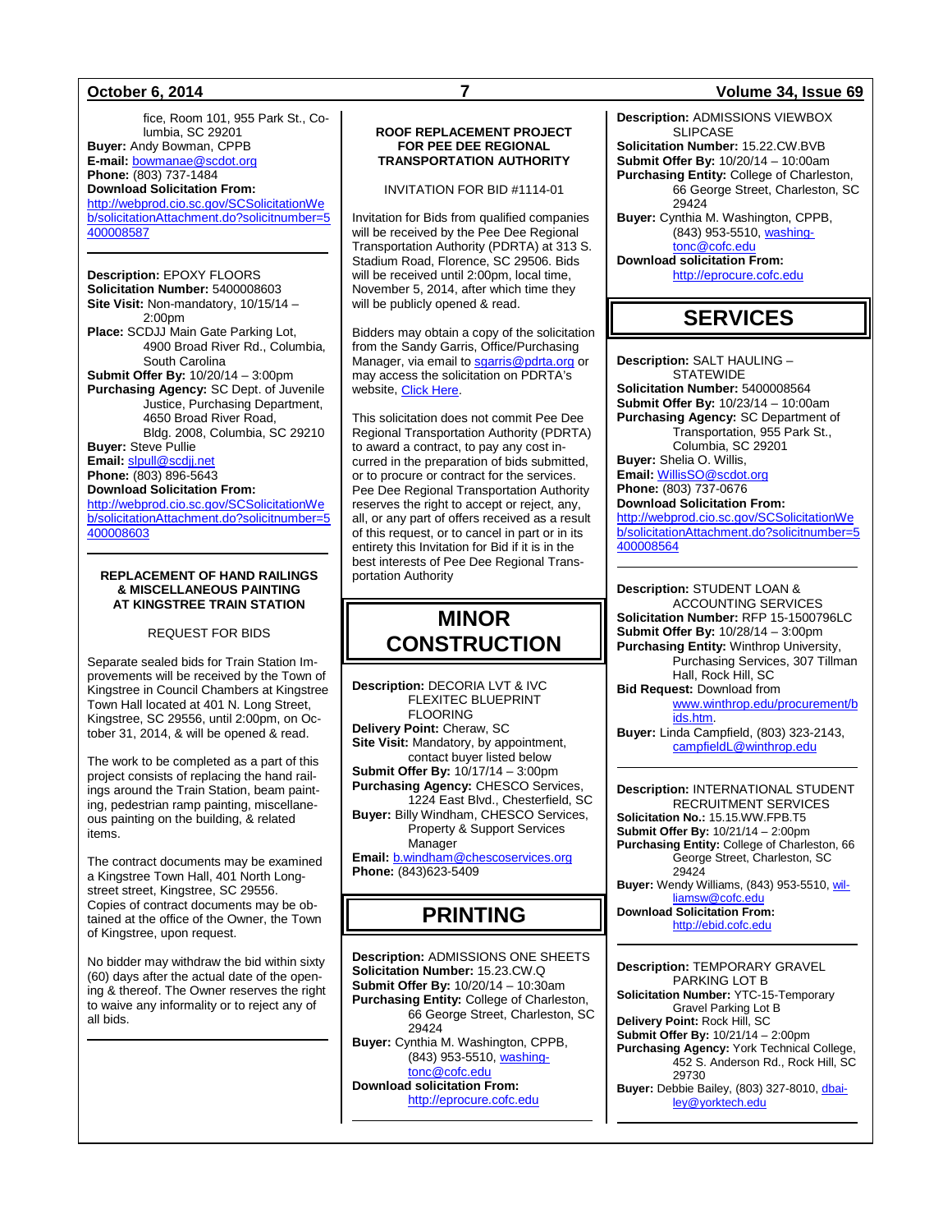fice, Room 101, 955 Park St., Columbia, SC 29201 **Buyer:** Andy Bowman, CPPB **E-mail:** [bowmanae@scdot.org](mailto:bowmanae@scdot.org) **Phone:** (803) 737-1484 **Download Solicitation From:** [http://webprod.cio.sc.gov/SCSolicitationWe](http://webprod.cio.sc.gov/SCSolicitationWeb/solicitationAttachment.do?solicitnumber=5400008587) [b/solicitationAttachment.do?solicitnumber=5](http://webprod.cio.sc.gov/SCSolicitationWeb/solicitationAttachment.do?solicitnumber=5400008587) [400008587](http://webprod.cio.sc.gov/SCSolicitationWeb/solicitationAttachment.do?solicitnumber=5400008587)

**Description:** EPOXY FLOORS **Solicitation Number:** 5400008603 **Site Visit:** Non-mandatory, 10/15/14 – 2:00pm **Place:** SCDJJ Main Gate Parking Lot, 4900 Broad River Rd., Columbia, South Carolina **Submit Offer By:** 10/20/14 – 3:00pm **Purchasing Agency:** SC Dept. of Juvenile Justice, Purchasing Department, 4650 Broad River Road, Bldg. 2008, Columbia, SC 29210 **Buyer:** Steve Pullie **Email:** [slpull@scdjj.net](mailto:slpull@scdjj.net) **Phone:** (803) 896-5643 **Download Solicitation From:** [http://webprod.cio.sc.gov/SCSolicitationWe](http://webprod.cio.sc.gov/SCSolicitationWeb/solicitationAttachment.do?solicitnumber=5400008603)

[b/solicitationAttachment.do?solicitnumber=5](http://webprod.cio.sc.gov/SCSolicitationWeb/solicitationAttachment.do?solicitnumber=5400008603) [400008603](http://webprod.cio.sc.gov/SCSolicitationWeb/solicitationAttachment.do?solicitnumber=5400008603)

#### **REPLACEMENT OF HAND RAILINGS & MISCELLANEOUS PAINTING AT KINGSTREE TRAIN STATION**

REQUEST FOR BIDS

Separate sealed bids for Train Station Improvements will be received by the Town of Kingstree in Council Chambers at Kingstree Town Hall located at 401 N. Long Street, Kingstree, SC 29556, until 2:00pm, on October 31, 2014, & will be opened & read.

The work to be completed as a part of this project consists of replacing the hand railings around the Train Station, beam painting, pedestrian ramp painting, miscellaneous painting on the building, & related items.

The contract documents may be examined a Kingstree Town Hall, 401 North Longstreet street, Kingstree, SC 29556. Copies of contract documents may be obtained at the office of the Owner, the Town of Kingstree, upon request.

No bidder may withdraw the bid within sixty (60) days after the actual date of the opening & thereof. The Owner reserves the right to waive any informality or to reject any of all bids.

### **ROOF REPLACEMENT PROJECT FOR PEE DEE REGIONAL TRANSPORTATION AUTHORITY**

INVITATION FOR BID #1114-01

Invitation for Bids from qualified companies will be received by the Pee Dee Regional Transportation Authority (PDRTA) at 313 S. Stadium Road, Florence, SC 29506. Bids will be received until 2:00pm, local time, November 5, 2014, after which time they will be publicly opened & read.

Bidders may obtain a copy of the solicitation from the Sandy Garris, Office/Purchasing Manager, via email t[o sgarris@pdrta.org](mailto:sgarris@pdrta.org) or may access the solicitation on PDRTA's website, [Click Here.](http://www.pdrta.org/about-pdrta/procurement-archive.aspx)

This solicitation does not commit Pee Dee Regional Transportation Authority (PDRTA) to award a contract, to pay any cost incurred in the preparation of bids submitted, or to procure or contract for the services. Pee Dee Regional Transportation Authority reserves the right to accept or reject, any, all, or any part of offers received as a result of this request, or to cancel in part or in its entirety this Invitation for Bid if it is in the best interests of Pee Dee Regional Transportation Authority

## **MINOR CONSTRUCTION**

**Description:** DECORIA LVT & IVC FLEXITEC BLUEPRINT FLOORING

**Delivery Point:** Cheraw, SC **Site Visit:** Mandatory, by appointment, contact buyer listed below **Submit Offer By:** 10/17/14 – 3:00pm **Purchasing Agency:** CHESCO Services, 1224 East Blvd., Chesterfield, SC **Buyer:** Billy Windham, CHESCO Services, Property & Support Services

Manager **Email:** [b.windham@chescoservices.org](mailto:b.windham@chescoservices.org)

**Phone:** (843)623-5409

## **PRINTING**

**Description:** ADMISSIONS ONE SHEETS **Solicitation Number:** 15.23.CW.Q **Submit Offer By:** 10/20/14 – 10:30am **Purchasing Entity:** College of Charleston, 66 George Street, Charleston, SC 29424 **Buyer:** Cynthia M. Washington, CPPB, (843) 953-5510[, washing](mailto:washingtonc@cofc.edu)[tonc@cofc.edu](mailto:washingtonc@cofc.edu) **Download solicitation From:**  [http://eprocure.cofc.edu](http://eprocure.cofc.edu/)

### **October 6, 2014 7 Volume 34, Issue 69**

**Description:** ADMISSIONS VIEWBOX SLIPCASE **Solicitation Number:** 15.22.CW.BVB **Submit Offer By:** 10/20/14 – 10:00am **Purchasing Entity:** College of Charleston,

66 George Street, Charleston, SC 29424 **Buyer:** Cynthia M. Washington, CPPB, (843) 953-5510, [washing-](mailto:washingtonc@cofc.edu)

[tonc@cofc.edu](mailto:washingtonc@cofc.edu)

**Download solicitation From:** 

[http://eprocure.cofc.edu](http://eprocure.cofc.edu/)

## **SERVICES**

**Description:** SALT HAULING – **STATEWIDE Solicitation Number:** 5400008564 **Submit Offer By:** 10/23/14 – 10:00am **Purchasing Agency:** SC Department of Transportation, 955 Park St., Columbia, SC 29201 **Buyer:** Shelia O. Willis, **Email:** [WillisSO@scdot.org](mailto:WillisSO@scdot.org)

**Phone:** (803) 737-0676 **Download Solicitation From:**

[http://webprod.cio.sc.gov/SCSolicitationWe](http://webprod.cio.sc.gov/SCSolicitationWeb/solicitationAttachment.do?solicitnumber=5400008564) [b/solicitationAttachment.do?solicitnumber=5](http://webprod.cio.sc.gov/SCSolicitationWeb/solicitationAttachment.do?solicitnumber=5400008564) [400008564](http://webprod.cio.sc.gov/SCSolicitationWeb/solicitationAttachment.do?solicitnumber=5400008564)

**Description:** STUDENT LOAN & ACCOUNTING SERVICES **Solicitation Number:** RFP 15-1500796LC **Submit Offer By:** 10/28/14 – 3:00pm **Purchasing Entity:** Winthrop University, Purchasing Services, 307 Tillman Hall, Rock Hill, SC **Bid Request:** Download from [www.winthrop.edu/procurement/b](http://www.winthrop.edu/procurement/bids.htm)

[ids.htm.](http://www.winthrop.edu/procurement/bids.htm)

**Buyer:** Linda Campfield, (803) 323-2143, [campfieldL@winthrop.edu](mailto:campfieldL@winthrop.edu)

**Description:** INTERNATIONAL STUDENT RECRUITMENT SERVICES **Solicitation No.:** 15.15.WW.FPB.T5 **Submit Offer By:** 10/21/14 – 2:00pm **Purchasing Entity:** College of Charleston, 66 George Street, Charleston, SC 29424 **Buyer:** Wendy Williams, (843) 953-5510[, wil](mailto:williamsw@cofc.edu)[liamsw@cofc.edu](mailto:williamsw@cofc.edu) **Download Solicitation From:** [http://ebid.cofc.edu](http://ebid.cofc.edu/)

**Description:** TEMPORARY GRAVEL PARKING LOT B **Solicitation Number:** YTC-15-Temporary Gravel Parking Lot B **Delivery Point:** Rock Hill, SC **Submit Offer By:** 10/21/14 – 2:00pm **Purchasing Agency:** York Technical College, 452 S. Anderson Rd., Rock Hill, SC 29730 **Buyer:** Debbie Bailey, (803) 327-8010[, dbai](mailto:dbailey@yorktech.edu)[ley@yorktech.edu](mailto:dbailey@yorktech.edu)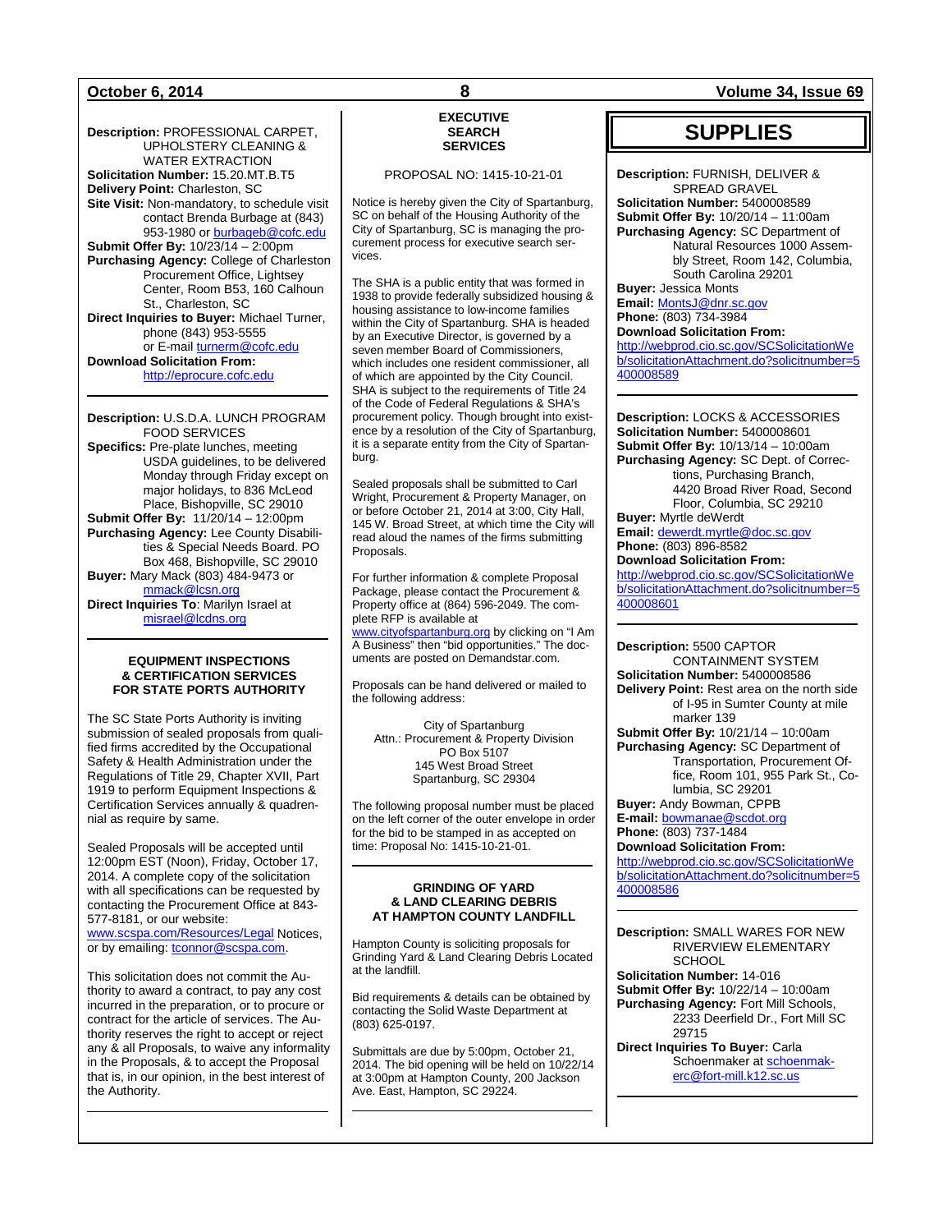**Description:** PROFESSIONAL CARPET, UPHOLSTERY CLEANING & WATER EXTRACTION **Solicitation Number:** 15.20.MT.B.T5 **Delivery Point:** Charleston, SC **Site Visit:** Non-mandatory, to schedule visit contact Brenda Burbage at (843) 953-1980 or **burbageb@cofc.edu Submit Offer By:** 10/23/14 – 2:00pm **Purchasing Agency:** College of Charleston Procurement Office, Lightsey Center, Room B53, 160 Calhoun St., Charleston, SC **Direct Inquiries to Buyer:** Michael Turner, phone (843) 953-5555 or E-mai[l turnerm@cofc.edu](mailto:turnerm@cofc.edu) **Download Solicitation From:** [http://eprocure.cofc.edu](http://eprocure.cofc.edu/)

**Description:** U.S.D.A. LUNCH PROGRAM FOOD SERVICES **Specifics:** Pre-plate lunches, meeting USDA guidelines, to be delivered Monday through Friday except on major holidays, to 836 McLeod Place, Bishopville, SC 29010 **Submit Offer By: 11/20/14 – 12:00pm Purchasing Agency:** Lee County Disabilities & Special Needs Board. PO Box 468, Bishopville, SC 29010 **Buyer:** Mary Mack (803) 484-9473 or [mmack@lcsn.org](mailto:mmack@lcsn.org) **Direct Inquiries To**: Marilyn Israel at [misrael@lcdns.org](mailto:misrael@lcdns.org)

#### **EQUIPMENT INSPECTIONS & CERTIFICATION SERVICES FOR STATE PORTS AUTHORITY**

The SC State Ports Authority is inviting submission of sealed proposals from qualified firms accredited by the Occupational Safety & Health Administration under the Regulations of Title 29, Chapter XVII, Part 1919 to perform Equipment Inspections & Certification Services annually & quadrennial as require by same.

Sealed Proposals will be accepted until 12:00pm EST (Noon), Friday, October 17, 2014. A complete copy of the solicitation with all specifications can be requested by contacting the Procurement Office at 843- 577-8181, or our website: [www.scspa.com/Resources/Legal](http://www.scspa.com/Resources/Legal) Notices, or by emailing: [tconnor@scspa.com.](mailto:tconnor@scspa.com)

This solicitation does not commit the Authority to award a contract, to pay any cost incurred in the preparation, or to procure or contract for the article of services. The Authority reserves the right to accept or reject any & all Proposals, to waive any informality in the Proposals, & to accept the Proposal that is, in our opinion, in the best interest of the Authority.

### **EXECUTIVE SEARCH SERVICES**

#### PROPOSAL NO: 1415-10-21-01

Notice is hereby given the City of Spartanburg, SC on behalf of the Housing Authority of the City of Spartanburg, SC is managing the procurement process for executive search services.

The SHA is a public entity that was formed in 1938 to provide federally subsidized housing & housing assistance to low-income families within the City of Spartanburg. SHA is headed by an Executive Director, is governed by a seven member Board of Commissioners, which includes one resident commissioner, all of which are appointed by the City Council. SHA is subject to the requirements of Title 24 of the Code of Federal Regulations & SHA's procurement policy. Though brought into existence by a resolution of the City of Spartanburg, it is a separate entity from the City of Spartanburg.

Sealed proposals shall be submitted to Carl Wright, Procurement & Property Manager, on or before October 21, 2014 at 3:00, City Hall, 145 W. Broad Street, at which time the City will read aloud the names of the firms submitting Proposals.

For further information & complete Proposal Package, please contact the Procurement & Property office at (864) 596-2049. The complete RFP is available at

[www.cityofspartanburg.org](http://www.cityofspartanburg.org/) by clicking on "I Am A Business" then "bid opportunities." The documents are posted on Demandstar.com.

Proposals can be hand delivered or mailed to the following address:

City of Spartanburg Attn.: Procurement & Property Division PO Box 5107 145 West Broad Street Spartanburg, SC 29304

The following proposal number must be placed on the left corner of the outer envelope in order for the bid to be stamped in as accepted on time: Proposal No: 1415-10-21-01.

#### **GRINDING OF YARD & LAND CLEARING DEBRIS AT HAMPTON COUNTY LANDFILL**

Hampton County is soliciting proposals for Grinding Yard & Land Clearing Debris Located at the landfill.

Bid requirements & details can be obtained by contacting the Solid Waste Department at (803) 625-0197.

Submittals are due by 5:00pm, October 21, 2014. The bid opening will be held on 10/22/14 at 3:00pm at Hampton County, 200 Jackson Ave. East, Hampton, SC 29224.

**October 6, 2014 8 Volume 34, Issue 69**

## **SUPPLIES**

**Description:** FURNISH, DELIVER & SPREAD GRAVEL **Solicitation Number:** 5400008589 **Submit Offer By:** 10/20/14 – 11:00am **Purchasing Agency:** SC Department of Natural Resources 1000 Assembly Street, Room 142, Columbia, South Carolina 29201 **Buyer:** Jessica Monts

**Email:** [MontsJ@dnr.sc.gov](mailto:MontsJ@dnr.sc.gov) **Phone:** (803) 734-3984 **Download Solicitation From:** [http://webprod.cio.sc.gov/SCSolicitationWe](http://webprod.cio.sc.gov/SCSolicitationWeb/solicitationAttachment.do?solicitnumber=5400008589) [b/solicitationAttachment.do?solicitnumber=5](http://webprod.cio.sc.gov/SCSolicitationWeb/solicitationAttachment.do?solicitnumber=5400008589) [400008589](http://webprod.cio.sc.gov/SCSolicitationWeb/solicitationAttachment.do?solicitnumber=5400008589)

**Description:** LOCKS & ACCESSORIES **Solicitation Number:** 5400008601 **Submit Offer By:** 10/13/14 – 10:00am **Purchasing Agency:** SC Dept. of Corrections, Purchasing Branch, 4420 Broad River Road, Second Floor, Columbia, SC 29210 **Buyer:** Myrtle deWerdt **Email:** [dewerdt.myrtle@doc.sc.gov](mailto:dewerdt.myrtle@doc.sc.gov)

**Phone:** (803) 896-8582 **Download Solicitation From:**

[http://webprod.cio.sc.gov/SCSolicitationWe](http://webprod.cio.sc.gov/SCSolicitationWeb/solicitationAttachment.do?solicitnumber=5400008601) [b/solicitationAttachment.do?solicitnumber=5](http://webprod.cio.sc.gov/SCSolicitationWeb/solicitationAttachment.do?solicitnumber=5400008601) [400008601](http://webprod.cio.sc.gov/SCSolicitationWeb/solicitationAttachment.do?solicitnumber=5400008601)

**Description:** 5500 CAPTOR CONTAINMENT SYSTEM **Solicitation Number:** 5400008586 **Delivery Point:** Rest area on the north side of I-95 in Sumter County at mile marker 139 **Submit Offer By:** 10/21/14 – 10:00am **Purchasing Agency:** SC Department of Transportation, Procurement Office, Room 101, 955 Park St., Columbia, SC 29201 **Buyer:** Andy Bowman, CPPB

**E-mail:** [bowmanae@scdot.org](mailto:bowmanae@scdot.org) **Phone:** (803) 737-1484 **Download Solicitation From:**

[http://webprod.cio.sc.gov/SCSolicitationWe](http://webprod.cio.sc.gov/SCSolicitationWeb/solicitationAttachment.do?solicitnumber=5400008586) [b/solicitationAttachment.do?solicitnumber=5](http://webprod.cio.sc.gov/SCSolicitationWeb/solicitationAttachment.do?solicitnumber=5400008586) [400008586](http://webprod.cio.sc.gov/SCSolicitationWeb/solicitationAttachment.do?solicitnumber=5400008586)

**Description:** SMALL WARES FOR NEW RIVERVIEW ELEMENTARY **SCHOOL Solicitation Number:** 14-016 **Submit Offer By:** 10/22/14 – 10:00am **Purchasing Agency:** Fort Mill Schools, 2233 Deerfield Dr., Fort Mill SC 29715 **Direct Inquiries To Buyer:** Carla Schoenmaker a[t schoenmak-](mailto:schoenmakerc@fort-mill.k12.sc.us)

[erc@fort-mill.k12.sc.us](mailto:schoenmakerc@fort-mill.k12.sc.us)